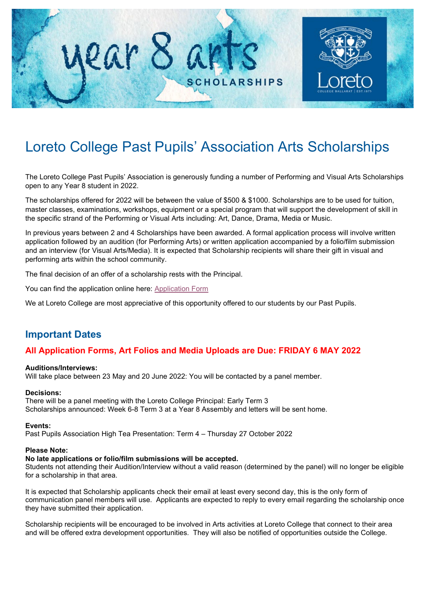

# Loreto College Past Pupils' Association Arts Scholarships

The Loreto College Past Pupils' Association is generously funding a number of Performing and Visual Arts Scholarships open to any Year 8 student in 2022.

The scholarships offered for 2022 will be between the value of \$500 & \$1000. Scholarships are to be used for tuition, master classes, examinations, workshops, equipment or a special program that will support the development of skill in the specific strand of the Performing or Visual Arts including: Art, Dance, Drama, Media or Music.

In previous years between 2 and 4 Scholarships have been awarded. A formal application process will involve written application followed by an audition (for Performing Arts) or written application accompanied by a folio/film submission and an interview (for Visual Arts/Media). It is expected that Scholarship recipients will share their gift in visual and performing arts within the school community.

The final decision of an offer of a scholarship rests with the Principal.

You can find the application online here: [Application Form](https://forms.gle/wTJWAqpt22Xxumbr8)

We at Loreto College are most appreciative of this opportunity offered to our students by our Past Pupils.

### **Important Dates**

### **All Application Forms, Art Folios and Media Uploads are Due: FRIDAY 6 MAY 2022**

#### **Auditions/Interviews:**

Will take place between 23 May and 20 June 2022: You will be contacted by a panel member.

#### **Decisions:**

There will be a panel meeting with the Loreto College Principal: Early Term 3 Scholarships announced: Week 6-8 Term 3 at a Year 8 Assembly and letters will be sent home.

#### **Events:**

Past Pupils Association High Tea Presentation: Term 4 – Thursday 27 October 2022

#### **Please Note:**

#### **No late applications or folio/film submissions will be accepted.**

Students not attending their Audition/Interview without a valid reason (determined by the panel) will no longer be eligible for a scholarship in that area.

It is expected that Scholarship applicants check their email at least every second day, this is the only form of communication panel members will use. Applicants are expected to reply to every email regarding the scholarship once they have submitted their application.

Scholarship recipients will be encouraged to be involved in Arts activities at Loreto College that connect to their area and will be offered extra development opportunities. They will also be notified of opportunities outside the College.